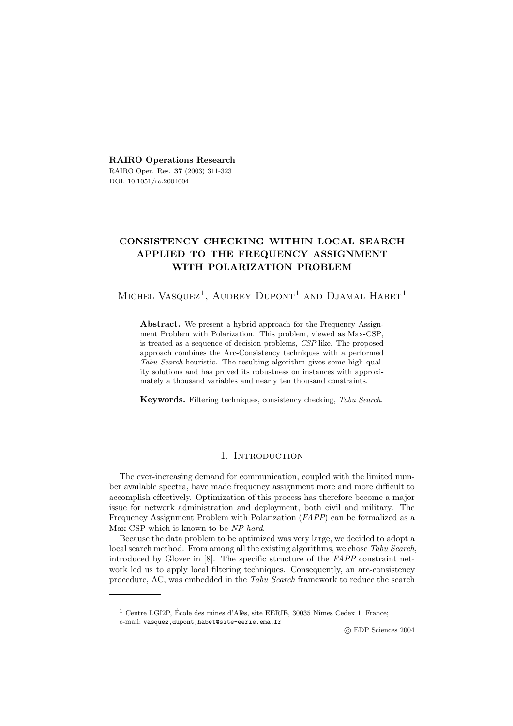**RAIRO Operations Research** RAIRO Oper. Res. **37** (2003) 311-323 DOI: 10.1051/ro:2004004

# **CONSISTENCY CHECKING WITHIN LOCAL SEARCH APPLIED TO THE FREQUENCY ASSIGNMENT WITH POLARIZATION PROBLEM**

MICHEL VASQUEZ<sup>1</sup>, AUDREY DUPONT<sup>1</sup> AND DJAMAL HABET<sup>1</sup>

**Abstract.** We present a hybrid approach for the Frequency Assignment Problem with Polarization. This problem, viewed as Max-CSP, is treated as a sequence of decision problems, *CSP* like. The proposed approach combines the Arc-Consistency techniques with a performed *Tabu Search* heuristic. The resulting algorithm gives some high quality solutions and has proved its robustness on instances with approximately a thousand variables and nearly ten thousand constraints.

**Keywords.** Filtering techniques, consistency checking, *Tabu Search*.

# 1. INTRODUCTION

The ever-increasing demand for communication, coupled with the limited number available spectra, have made frequency assignment more and more difficult to accomplish effectively. Optimization of this process has therefore become a major issue for network administration and deployment, both civil and military. The Frequency Assignment Problem with Polarization (*FAPP*) can be formalized as a Max-CSP which is known to be *NP-hard*.

Because the data problem to be optimized was very large, we decided to adopt a local search method. From among all the existing algorithms, we chose *Tabu Search*, introduced by Glover in [8]. The specific structure of the *FAPP* constraint network led us to apply local filtering techniques. Consequently, an arc-consistency procedure, AC, was embedded in the *Tabu Search* framework to reduce the search

c EDP Sciences 2004

 $1$  Centre LGI2P, École des mines d'Alès, site EERIE, 30035 Nîmes Cedex 1, France; e-mail: vasquez,dupont,habet@site-eerie.ema.fr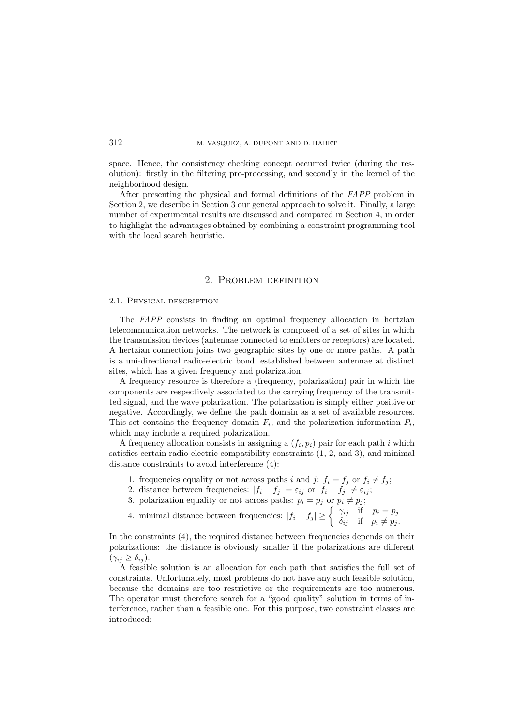space. Hence, the consistency checking concept occurred twice (during the resolution): firstly in the filtering pre-processing, and secondly in the kernel of the neighborhood design.

After presenting the physical and formal definitions of the *FAPP* problem in Section 2, we describe in Section 3 our general approach to solve it. Finally, a large number of experimental results are discussed and compared in Section 4, in order to highlight the advantages obtained by combining a constraint programming tool with the local search heuristic.

# 2. Problem definition

#### 2.1. Physical description

The *FAPP* consists in finding an optimal frequency allocation in hertzian telecommunication networks. The network is composed of a set of sites in which the transmission devices (antennae connected to emitters or receptors) are located. A hertzian connection joins two geographic sites by one or more paths. A path is a uni-directional radio-electric bond, established between antennae at distinct sites, which has a given frequency and polarization.

A frequency resource is therefore a (frequency, polarization) pair in which the components are respectively associated to the carrying frequency of the transmitted signal, and the wave polarization. The polarization is simply either positive or negative. Accordingly, we define the path domain as a set of available resources. This set contains the frequency domain  $F_i$ , and the polarization information  $P_i$ , which may include a required polarization.

A frequency allocation consists in assigning a  $(f_i, p_i)$  pair for each path i which satisfies certain radio-electric compatibility constraints (1, 2, and 3), and minimal distance constraints to avoid interference (4):

- 1. frequencies equality or not across paths i and j:  $f_i = f_j$  or  $f_i \neq f_j$ ;
- 2. distance between frequencies:  $|f_i f_j| = \varepsilon_{ij}$  or  $|f_i f_j| \neq \varepsilon_{ij}$ ;
- 3. polarization equality or not across paths:  $p_i = p_j$  or  $p_i \neq p_j$ ;
- 4. minimal distance between frequencies:  $|f_i f_j| \geq \begin{cases} \gamma_{ij} & \text{if } p_i = p_j \\ \delta_{ij} & \text{if } p_i \neq p_j. \end{cases}$

In the constraints (4), the required distance between frequencies depends on their polarizations: the distance is obviously smaller if the polarizations are different  $(\gamma_{ij} \geq \delta_{ij}).$ 

A feasible solution is an allocation for each path that satisfies the full set of constraints. Unfortunately, most problems do not have any such feasible solution, because the domains are too restrictive or the requirements are too numerous. The operator must therefore search for a "good quality" solution in terms of interference, rather than a feasible one. For this purpose, two constraint classes are introduced: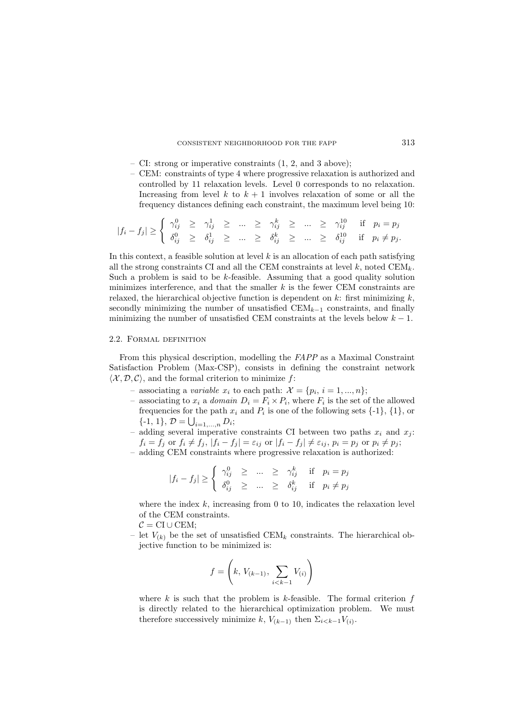- CI: strong or imperative constraints (1, 2, and 3 above);
- CEM: constraints of type 4 where progressive relaxation is authorized and controlled by 11 relaxation levels. Level 0 corresponds to no relaxation. Increasing from level k to  $k + 1$  involves relaxation of some or all the frequency distances defining each constraint, the maximum level being 10:

$$
|f_i - f_j| \ge \begin{cases} \gamma_{ij}^0 \ge \gamma_{ij}^1 \ge \dots \ge \gamma_{ij}^k \ge \dots \ge \gamma_{ij}^{10} & \text{if } p_i = p_j \\ \delta_{ij}^0 \ge \delta_{ij}^1 \ge \dots \ge \delta_{ij}^k & \text{if } p_i \ne p_j. \end{cases}
$$

In this context, a feasible solution at level  $k$  is an allocation of each path satisfying all the strong constraints CI and all the CEM constraints at level  $k$ , noted  $CEM_k$ . Such a problem is said to be k-feasible. Assuming that a good quality solution minimizes interference, and that the smaller  $k$  is the fewer CEM constraints are relaxed, the hierarchical objective function is dependent on k: first minimizing  $k$ , secondly minimizing the number of unsatisfied CEM*<sup>k</sup>*−<sup>1</sup> constraints, and finally minimizing the number of unsatisfied CEM constraints at the levels below  $k - 1$ .

#### 2.2. Formal definition

From this physical description, modelling the *FAPP* as a Maximal Constraint Satisfaction Problem (Max-CSP), consists in defining the constraint network  $\langle \mathcal{X}, \mathcal{D}, \mathcal{C} \rangle$ , and the formal criterion to minimize f:

- associating a *variable*  $x_i$  to each path:  $\mathcal{X} = \{p_i, i = 1, ..., n\};$
- associating to  $x_i$  a *domain*  $D_i = F_i \times P_i$ , where  $F_i$  is the set of the allowed frequencies for the path  $x_i$  and  $P_i$  is one of the following sets  $\{-1\}$ ,  $\{1\}$ , or  $\{-1, 1\}, \mathcal{D} = \bigcup_{i=1,\dots,n} D_i;$
- $-$  adding several imperative constraints CI between two paths  $x_i$  and  $x_j$ :  $f_i = f_j$  or  $f_i \neq f_j$ ,  $|f_i - f_j| = \varepsilon_{ij}$  or  $|f_i - f_j| \neq \varepsilon_{ij}$ ,  $p_i = p_j$  or  $p_i \neq p_j$ ;
- adding CEM constraints where progressive relaxation is authorized:

$$
|f_i - f_j| \ge \begin{cases} \gamma_{ij}^0 \ge \dots \ge \gamma_{ij}^k & \text{if } p_i = p_j \\ \delta_{ij}^0 \ge \dots \ge \delta_{ij}^k & \text{if } p_i \neq p_j \end{cases}
$$

where the index  $k$ , increasing from 0 to 10, indicates the relaxation level of the CEM constraints.

- $C = \text{CI} \cup \text{CEM}$
- let  $V_{(k)}$  be the set of unsatisfied CEM<sub>k</sub> constraints. The hierarchical objective function to be minimized is:

$$
f = \left(k, V_{(k-1)}, \sum_{i < k-1} V_{(i)}\right)
$$

where  $k$  is such that the problem is  $k$ -feasible. The formal criterion  $f$ is directly related to the hierarchical optimization problem. We must therefore successively minimize k,  $V_{(k-1)}$  then  $\Sigma_{i\leq k-1}V_{(i)}$ .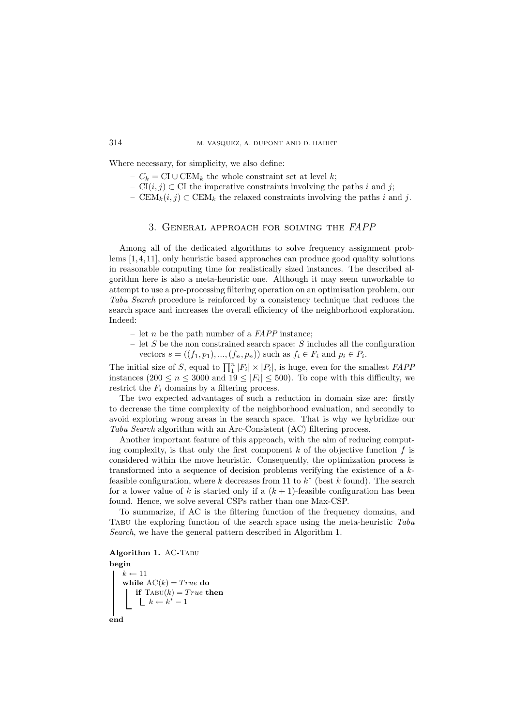Where necessary, for simplicity, we also define:

- $-C_k = \text{CI} ∪ \text{CEM}_k$  the whole constraint set at level k;
- CI $(i, j)$  ⊂ CI the imperative constraints involving the paths i and j;
- CEM<sub>k</sub> $(i, j)$  ⊂ CEM<sub>k</sub> the relaxed constraints involving the paths i and j.

# 3. General approach for solving the *FAPP*

Among all of the dedicated algorithms to solve frequency assignment problems [1, 4, 11], only heuristic based approaches can produce good quality solutions in reasonable computing time for realistically sized instances. The described algorithm here is also a meta-heuristic one. Although it may seem unworkable to attempt to use a pre-processing filtering operation on an optimisation problem, our *Tabu Search* procedure is reinforced by a consistency technique that reduces the search space and increases the overall efficiency of the neighborhood exploration. Indeed:

- let n be the path number of a *FAPP* instance;
- let S be the non constrained search space: S includes all the configuration vectors  $s = ((f_1, p_1), ..., (f_n, p_n))$  such as  $f_i \in F_i$  and  $p_i \in P_i$ .

The initial size of S, equal to  $\prod_{i=1}^{n} |F_i| \times |P_i|$ , is huge, even for the smallest *FAPP* instances  $(200 \le n \le 3000$  and  $19 \le |F_i| \le 500)$ . To cope with this difficulty, we restrict the  $F_i$  domains by a filtering process.

The two expected advantages of such a reduction in domain size are: firstly to decrease the time complexity of the neighborhood evaluation, and secondly to avoid exploring wrong areas in the search space. That is why we hybridize our *Tabu Search* algorithm with an Arc-Consistent (AC) filtering process.

Another important feature of this approach, with the aim of reducing computing complexity, is that only the first component  $k$  of the objective function  $f$  is considered within the move heuristic. Consequently, the optimization process is transformed into a sequence of decision problems verifying the existence of a kfeasible configuration, where k decreases from 11 to  $k^*$  (best k found). The search for a lower value of k is started only if a  $(k + 1)$ -feasible configuration has been found. Hence, we solve several CSPs rather than one Max-CSP.

To summarize, if AC is the filtering function of the frequency domains, and Tabu the exploring function of the search space using the meta-heuristic *Tabu Search*, we have the general pattern described in Algorithm 1.

# **Algorithm 1.** AC-Tabu

**begin**  $k \leftarrow 11$ <br>while **while**  $AC(k) = True$  **do**<br>**i if**  $T_{ABU}(k) = True$  **t if**  $\text{Tabu}(k) = True$  **then**<br> $\begin{bmatrix} k & k^* & 1 \end{bmatrix}$  $k \leftarrow k^* - 1$ **end**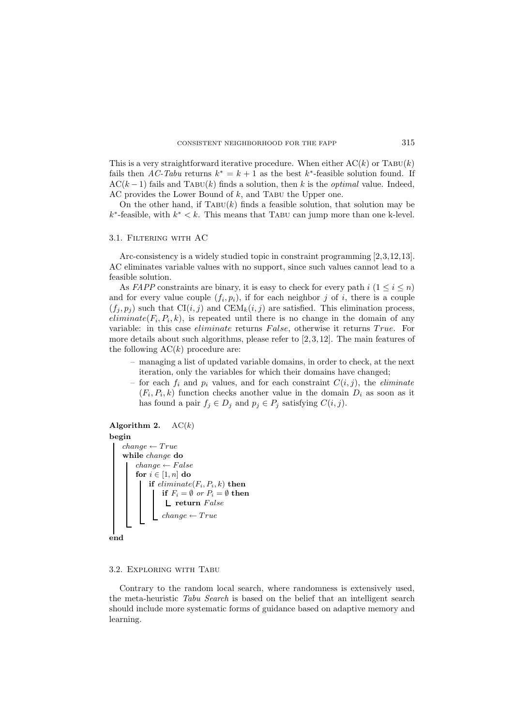This is a very straightforward iterative procedure. When either  $AC(k)$  or TABU(k) fails then *AC-Tabu* returns  $k^* = k + 1$  as the best  $k^*$ -feasible solution found. If  $AC(k-1)$  fails and TABU(k) finds a solution, then k is the *optimal* value. Indeed, AC provides the Lower Bound of  $k$ , and TABU the Upper one.

On the other hand, if TABU(k) finds a feasible solution, that solution may be  $k^*$ -feasible, with  $k^* < k$ . This means that TABU can jump more than one k-level.

#### 3.1. Filtering with AC

Arc-consistency is a widely studied topic in constraint programming [2,3,12,13]. AC eliminates variable values with no support, since such values cannot lead to a feasible solution.

As *FAPP* constraints are binary, it is easy to check for every path  $i$  ( $1 \leq i \leq n$ ) and for every value couple  $(f_i, p_i)$ , if for each neighbor j of i, there is a couple  $(f_j, p_j)$  such that  $CI(i, j)$  and  $CEM_k(i, j)$  are satisfied. This elimination process,  $eliminate(F_i, P_i, k)$ , is repeated until there is no change in the domain of any variable: in this case *eliminate* returns False, otherwise it returns True. For more details about such algorithms, please refer to  $[2, 3, 12]$ . The main features of the following  $AC(k)$  procedure are:

– managing a list of updated variable domains, in order to check, at the next iteration, only the variables for which their domains have changed;

– for each  $f_i$  and  $p_i$  values, and for each constraint  $C(i, j)$ , the *eliminate*  $(F_i, P_i, k)$  function checks another value in the domain  $D_i$  as soon as it has found a pair  $f_j \in D_j$  and  $p_j \in P_j$  satisfying  $C(i, j)$ .

#### **Algorithm 2.**  $AC(k)$

```
begin
        change ← T rue
while change do
                 \begin{array}{l} \textit{change} \leftarrow \textit{false} \ \textbf{for} \ i \in [1 \ n] \ \textbf{do} \end{array}\mathbf{for} \; i \in [1,n] \; \mathbf{do}<br>L if eliminate
                        if eliminate(F_i, P_i, k) then
                               if F_i = \emptyset or P_i = \emptyset then
                                   \blacksquarereturnFalsechange \leftarrow Trueend
```
#### 3.2. Exploring with Tabu

Contrary to the random local search, where randomness is extensively used, the meta-heuristic *Tabu Search* is based on the belief that an intelligent search should include more systematic forms of guidance based on adaptive memory and learning.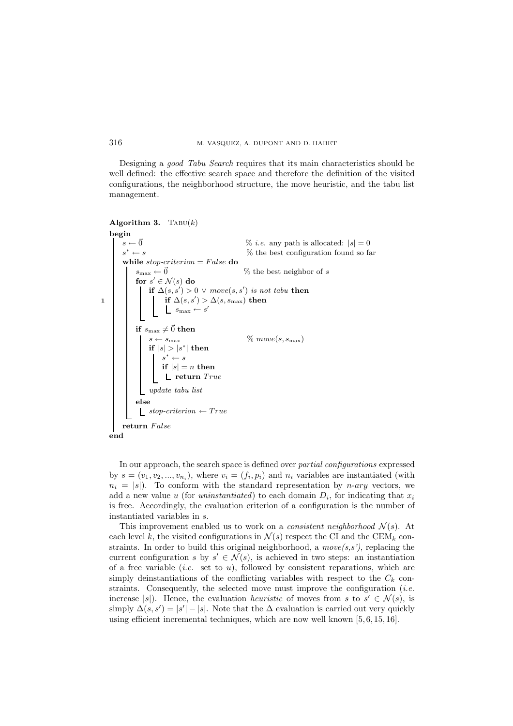Designing a *good Tabu Search* requires that its main characteristics should be well defined: the effective search space and therefore the definition of the visited configurations, the neighborhood structure, the move heuristic, and the tabu list management.

```
Algorithm 3. TABU(k)begin
           s \leftarrow \vec{0} % i.e. any path is allocated: |s| = 0<br>
s^* \leftarrow s % the best configuration found so fa
                                                                                     % the best configuration found so far
            while stop-criterion = False do<br>\begin{pmatrix} s_{\text{max}} \leftarrow \vec{0} \end{pmatrix}\% the best neighbor of s
                    {\bf for}\,\, s'\in {\cal N}(s)\, {\bf do} \ \vdash \, {\bf if}\,\, \Lambda(e,e') > 0if \Delta(s, s') > 0 ∨ move(s, s') is not tabu then<br>i if \Delta(s, s') > \Delta(s, s') then
\begin{array}{c|c|c|c} \textbf{1} & \textbf{if } \Delta(s, s') > \Delta(s, s_{\text{max}}) \textbf{ then} \end{array}s_{\text{max}} \leftarrow s'if s_{\text{max}} \neq \vec{0} then<br>\mid s \leftarrow s_{\text{max}}\% move(s, s<sub>max</sub>)
                           if |s| > |s^*| then<br>i s^* \leftarrow ss^* \leftarrow sif lel=\textbf{if} \ |s| = n \ \textbf{then}<br>L roturn T_{n}\mathbf{\mathsf{L}} return Trueupdate tabu list
                   else
                      \qquad \qquad \textit{stop-criterion} \leftarrow \textit{True}return False
    end
```
In our approach, the search space is defined over *partial configurations* expressed by  $s = (v_1, v_2, ..., v_{n_i})$ , where  $v_i = (f_i, p_i)$  and  $n_i$  variables are instantiated (with  $n_i = |s|$ ). To conform with the standard representation by *n-ary* vectors, we add a new value u (for *uninstantiated*) to each domain  $D_i$ , for indicating that  $x_i$ is free. Accordingly, the evaluation criterion of a configuration is the number of instantiated variables in s.

This improvement enabled us to work on a *consistent neighborhood*  $\mathcal{N}(s)$ . At each level k, the visited configurations in  $\mathcal{N}(s)$  respect the CI and the CEM<sub>k</sub> constraints. In order to build this original neighborhood, a  $move(s, s')$ , replacing the current configuration s by  $s' \in \mathcal{N}(s)$ , is achieved in two steps: an instantiation of a free variable *(i.e.* set to  $u$ ), followed by consistent reparations, which are simply deinstantiations of the conflicting variables with respect to the  $C_k$  constraints. Consequently, the selected move must improve the configuration (*i.e.* increase  $|s|$ . Hence, the evaluation *heuristic* of moves from s to  $s' \in \mathcal{N}(s)$ , is simply  $\Delta(s, s') = |s'| - |s|$ . Note that the  $\Delta$  evaluation is carried out very quickly using efficient incremental techniques, which are now well known [5, 6, 15, 16].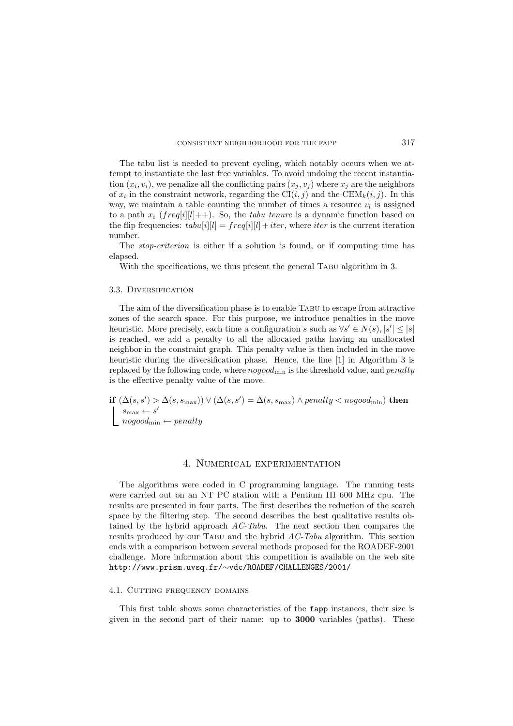The tabu list is needed to prevent cycling, which notably occurs when we attempt to instantiate the last free variables. To avoid undoing the recent instantiation  $(x_i, v_i)$ , we penalize all the conflicting pairs  $(x_i, v_i)$  where  $x_i$  are the neighbors of  $x_i$  in the constraint network, regarding the  $\text{CI}(i, j)$  and the  $\text{CEM}_k(i, j)$ . In this way, we maintain a table counting the number of times a resource  $v_l$  is assigned to a path  $x_i$  (freq[i][l]++). So, the *tabu tenure* is a dynamic function based on the flip frequencies:  $tabu[i][l] = freq[i][l] + iter$ , where *iter* is the current iteration number.

The *stop-criterion* is either if a solution is found, or if computing time has elapsed.

With the specifications, we thus present the general TABU algorithm in 3.

## 3.3. Diversification

The aim of the diversification phase is to enable Tabu to escape from attractive zones of the search space. For this purpose, we introduce penalties in the move heuristic. More precisely, each time a configuration s such as  $\forall s' \in N(s), |s'| \leq |s|$ is reached, we add a penalty to all the allocated paths having an unallocated neighbor in the constraint graph. This penalty value is then included in the move heuristic during the diversification phase. Hence, the line [1] in Algorithm 3 is replaced by the following code, where  $nogood<sub>min</sub>$  is the threshold value, and  $penalty$ is the effective penalty value of the move.

**if**  $(\Delta(s, s') > \Delta(s, s_{\max})) \vee (\Delta(s, s') = \Delta(s, s_{\max}) \wedge penalty < nogood_{\min})$  **then**  $s_{\text{max}} \leftarrow s' \ no good_{\text{min}} \leftarrow penalty$ 

#### 4. Numerical experimentation

The algorithms were coded in C programming language. The running tests were carried out on an NT PC station with a Pentium III 600 MHz cpu. The results are presented in four parts. The first describes the reduction of the search space by the filtering step. The second describes the best qualitative results obtained by the hybrid approach *AC-Tabu*. The next section then compares the results produced by our Tabu and the hybrid *AC-Tabu* algorithm. This section ends with a comparison between several methods proposed for the ROADEF-2001 challenge. More information about this competition is available on the web site http://www.prism.uvsq.fr/∼vdc/ROADEF/CHALLENGES/2001/

#### 4.1. CUTTING FREQUENCY DOMAINS

This first table shows some characteristics of the fapp instances, their size is given in the second part of their name: up to **3000** variables (paths). These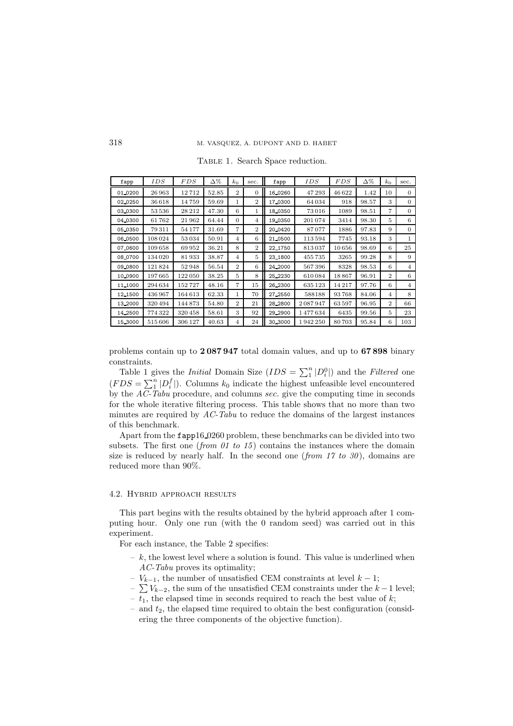| fapp    | IDS    | <i>FDS</i> | Δ%    | $k_0$          | sec.           | fapp     | IDS     | FDS   | Δ%    | $k_0$          | sec.     |
|---------|--------|------------|-------|----------------|----------------|----------|---------|-------|-------|----------------|----------|
| 01,0200 | 26963  | 12712      | 52.85 | $\overline{2}$ | $\Omega$       | 16,0260  | 47293   | 46622 | 1.42  | 10             | $\Omega$ |
| 02.0250 | 36618  | 14759      | 59.69 | 1              | $\overline{2}$ | 17.0300  | 64034   | 918   | 98.57 | 3              | 0        |
| 03_0300 | 53536  | 28 21 2    | 47.30 | 6              | 1              | 18_0350  | 73 016  | 1089  | 98.51 | $\overline{7}$ | $\Omega$ |
| 04.0300 | 61762  | 21962      | 64.44 | $\Omega$       | $\overline{4}$ | 19.0350  | 201074  | 3414  | 98.30 | 5              | 6        |
| 05.0350 | 79311  | 54 177     | 31.69 | 7              | $\overline{2}$ | 20_0420  | 87077   | 1886  | 97.83 | 9              | 0        |
| 06_0500 | 108024 | 53 0 34    | 50.91 | $\overline{4}$ | 6              | 21_0500  | 113594  | 7745  | 93.18 | 3              | 1        |
| 07.0600 | 109658 | 69952      | 36.21 | 8              | $\overline{2}$ | 22.1750  | 813037  | 10656 | 98.69 | 6              | 25       |
| 08.0700 | 134020 | 81933      | 38.87 | 4              | 5              | 23_1800  | 455735  | 3265  | 99.28 | 8              | 9        |
| 09,0800 | 121824 | 52948      | 56.54 | $\overline{2}$ | 6              | 24, 2000 | 567396  | 8328  | 98.53 | 6              | 4        |
| 10.0900 | 197665 | 122050     | 38.25 | 5              | 8              | 25, 2230 | 610084  | 18867 | 96.91 | $\mathbf{2}$   | 6        |
| 11_1000 | 294634 | 152727     | 48.16 | 7              | 15             | 26 2300  | 635 123 | 14217 | 97.76 | 6              | 4        |
| 12 1500 | 436967 | 164613     | 62.33 | 1              | 70             | 27, 2550 | 588188  | 93768 | 84.06 | 4              | 8        |
| 13,2000 | 320494 | 144873     | 54.80 | $\overline{2}$ | 21             | 28, 2800 | 2087947 | 63597 | 96.95 | $\mathbf{2}$   | 66       |
| 14.2500 | 774322 | 320458     | 58.61 | 3              | 92             | 29 2900  | 1477634 | 6435  | 99.56 | 5              | 23       |
| 15 3000 | 515606 | 306 127    | 40.63 | 4              | 24             | 30_3000  | 1942250 | 80703 | 95.84 | 6              | 103      |

TABLE 1. Search Space reduction.

problems contain up to **2 087 947** total domain values, and up to **67 898** binary constraints.

Table 1 gives the *Initial* Domain Size  $(IDS = \sum_{1}^{n} |D_i^0|)$  and the *Filtered* one  $(FDS = \sum_{i=1}^{n} |D_i^f|)$ . Columns  $k_0$  indicate the highest unfeasible level encountered by the *AC-Tabu* procedure, and columns sec. give the computing time in seconds for the whole iterative filtering process. This table shows that no more than two minutes are required by *AC-Tabu* to reduce the domains of the largest instances of this benchmark.

Apart from the fapp16 0260 problem, these benchmarks can be divided into two subsets. The first one (*from 01 to 15*) contains the instances where the domain size is reduced by nearly half. In the second one (*from 17 to 30*), domains are reduced more than 90%.

# 4.2. Hybrid approach results

This part begins with the results obtained by the hybrid approach after 1 computing hour. Only one run (with the 0 random seed) was carried out in this experiment.

For each instance, the Table 2 specifies:

- $-k$ , the lowest level where a solution is found. This value is underlined when *AC-Tabu* proves its optimality;
- $-V_{k-1}$ , the number of unsatisfied CEM constraints at level  $k-1$ ;
- $\sum V_{k-2}$ , the sum of the unsatisfied CEM constraints under the  $k-1$  level;
- $-\overline{t_1}$ , the elapsed time in seconds required to reach the best value of k;
- and  $t_2$ , the elapsed time required to obtain the best configuration (considering the three components of the objective function).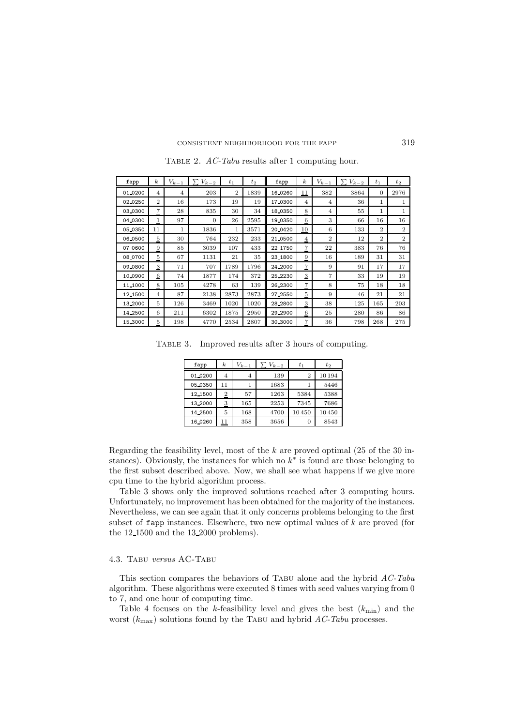| fapp    | $\boldsymbol{k}$          | $V_{k-1}$      | $V_{k-2}$ | $t_1$          | $t_2$ | fapp     | $\boldsymbol{k}$        | $V_{k-1}$      | $V_{k-2}$<br>ᡪ | $t_{1}$        | $t_2$          |
|---------|---------------------------|----------------|-----------|----------------|-------|----------|-------------------------|----------------|----------------|----------------|----------------|
| 01.0200 | 4                         | $\overline{4}$ | 203       | $\overline{2}$ | 1839  | 16.0260  | $\overline{11}$         | 382            | 3864           | $\Omega$       | 2976           |
| 02.0250 | $\overline{2}$            | 16             | 173       | 19             | 19    | 17.0300  | $\overline{4}$          | $\overline{4}$ | 36             | 1              | 1              |
| 03_0300 | $\mathbf{Z}$              | 28             | 835       | 30             | 34    | 18_0350  | $8\overline{8}$         | $\overline{4}$ | 55             | 1              | 1              |
| 04.0300 | 1                         | 97             | $\Omega$  | 26             | 2595  | 19.0350  | $\mathbf 6$             | 3              | 66             | 16             | 16             |
| 05.0350 | 11                        | 1              | 1836      | $\mathbf{1}$   | 3571  | 20.0420  | <u>10</u>               | 6              | 133            | $\overline{2}$ | $\overline{2}$ |
| 06_0500 | $\overline{5}$            | 30             | 764       | 232            | 233   | 21_0500  | $\overline{4}$          | $\overline{2}$ | 12             | $\overline{2}$ | $\overline{2}$ |
| 07.0600 | $\overline{9}$            | 85             | 3039      | 107            | 433   | 22.1750  | $\overline{7}$          | 22             | 383            | 76             | 76             |
| 08.0700 | $\overline{5}$            | 67             | 1131      | 21             | 35    | 23_1800  | $\overline{9}$          | 16             | 189            | 31             | 31             |
| 09.0800 | $\ensuremath{\mathbf{3}}$ | 71             | 707       | 1789           | 1796  | 24, 2000 | 7                       | 9              | 91             | 17             | 17             |
| 10.0900 | $6\phantom{.}6$           | 74             | 1877      | 174            | 372   | 25, 2230 | $\overline{3}$          | 7              | 33             | 19             | 19             |
| 11_1000 | $\overline{\mathbf{8}}$   | 105            | 4278      | 63             | 139   | 26_2300  | $\scriptstyle{7}$       | 8              | 75             | 18             | 18             |
| 12.1500 | $\overline{4}$            | 87             | 2138      | 2873           | 2873  | 27, 2550 | $\overline{5}$          | 9              | 46             | 21             | 21             |
| 13,2000 | 5                         | 126            | 3469      | 1020           | 1020  | 28_2800  | $\overline{\mathbf{3}}$ | 38             | 125            | 165            | 203            |
| 14_2500 | 6                         | 211            | 6302      | 1875           | 2950  | 29_2900  | $\mathbf 6$             | 25             | 280            | 86             | 86             |
| 15.3000 | $\overline{5}$            | 198            | 4770      | 2534           | 2807  | 30_3000  | $\overline{7}$          | 36             | 798            | 268            | 275            |

Table 2. *AC-Tabu* results after 1 computing hour.

Table 3. Improved results after 3 hours of computing.

| fapp    | $\boldsymbol{k}$ | $V_{k-1}$ | $V_{k-2}$ | $t_{1}$        | $t_2$  |
|---------|------------------|-----------|-----------|----------------|--------|
| 01.0200 | 4                | 4         | 139       | $\overline{2}$ | 10 194 |
| 05.0350 | 11               |           | 1683      |                | 5446   |
| 12.1500 | $\overline{2}$   | 57        | 1263      | 5384           | 5388   |
| 13,2000 | $\overline{3}$   | 165       | 2253      | 7345           | 7686   |
| 14.2500 | 5                | 168       | 4700      | 10450          | 10450  |
| 16.0260 | 11               | 358       | 3656      | O              | 8543   |

Regarding the feasibility level, most of the  $k$  are proved optimal (25 of the 30 instances). Obviously, the instances for which no  $k^*$  is found are those belonging to the first subset described above. Now, we shall see what happens if we give more cpu time to the hybrid algorithm process.

Table 3 shows only the improved solutions reached after 3 computing hours. Unfortunately, no improvement has been obtained for the majority of the instances. Nevertheless, we can see again that it only concerns problems belonging to the first subset of  $f$ app instances. Elsewhere, two new optimal values of  $k$  are proved (for the 12 1500 and the 13 2000 problems).

#### 4.3. Tabu *versus* AC-Tabu

This section compares the behaviors of Tabu alone and the hybrid *AC-Tabu* algorithm. These algorithms were executed 8 times with seed values varying from 0 to 7, and one hour of computing time.

Table 4 focuses on the k-feasibility level and gives the best  $(k_{\min})$  and the worst  $(k_{\text{max}})$  solutions found by the TABU and hybrid *AC-Tabu* processes.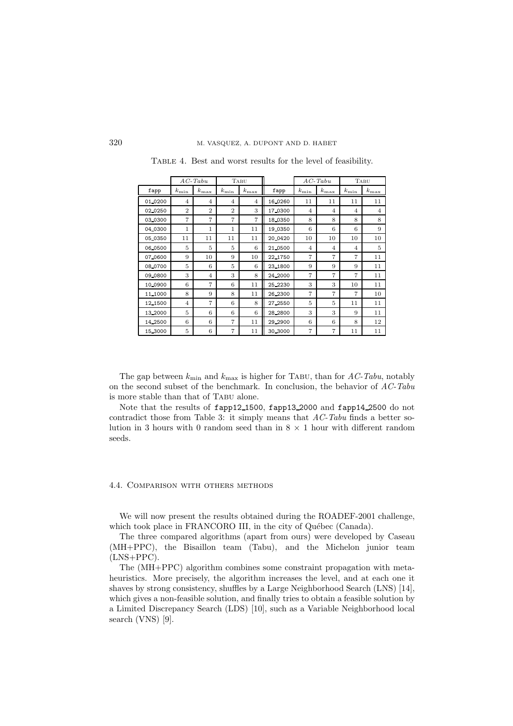|         |                | $AC$ -Tabu     |                | TABU           |          |                | $AC$ -Tabu     |                | TABU           |
|---------|----------------|----------------|----------------|----------------|----------|----------------|----------------|----------------|----------------|
| fapp    | $k_{\rm min}$  | $k_{\rm max}$  | $k_{\rm min}$  | $k_{\rm max}$  | fapp     | $k_{\rm min}$  | $k_{\rm max}$  | $k_{\rm min}$  | $k_{\rm max}$  |
| 01.0200 | 4              | $\overline{4}$ | $\overline{4}$ | 4              | 16.0260  | 11             | 11             | 11             | 11             |
| 02_0250 | $\overline{2}$ | $\overline{2}$ | $\overline{2}$ | 3              | 17.0300  | $\overline{4}$ | 4              | $\overline{4}$ | $\overline{4}$ |
| 03.0300 | $\overline{7}$ | 7              | 7              | $\overline{7}$ | 18 0350  | 8              | 8              | 8              | 8              |
| 04.0300 | 1              | 1              | 1              | 11             | 19 0350  | 6              | 6              | 6              | 9              |
| 05.0350 | 11             | 11             | 11             | 11             | 20 04 20 | 10             | 10             | 10             | 10             |
| 06.0500 | 5              | 5              | 5              | 6              | 21 0500  | $\overline{4}$ | $\overline{4}$ | $\overline{4}$ | 5              |
| 07.0600 | 9              | 10             | 9              | 10             | 22_1750  | $\overline{7}$ | 7              | $\overline{7}$ | 11             |
| 08.0700 | 5              | 6              | 5              | 6              | 23.1800  | 9              | 9              | 9              | 11             |
| 09.0800 | 3              | $\overline{4}$ | 3              | 8              | 24, 2000 | 7              | 7              | 7              | 11             |
| 10.0900 | 6              | 7              | 6              | 11             | 25, 2230 | 3              | 3              | 10             | 11             |
| 11,1000 | 8              | 9              | 8              | 11             | 26 2300  | 7              | 7              | 7              | 10             |
| 12_1500 | $\overline{4}$ | 7              | 6              | 8              | 27, 2550 | 5              | 5              | 11             | 11             |
| 13_2000 | 5              | 6              | 6              | 6              | 28_2800  | 3              | 3              | 9              | 11             |
| 14.2500 | 6              | 6              | 7              | 11             | 29, 2900 | 6              | 6              | 8              | 12             |
| 15.3000 | 5              | 6              | 7              | 11             | 30 3000  | 7              | 7              | 11             | 11             |

Table 4. Best and worst results for the level of feasibility.

The gap between  $k_{\text{min}}$  and  $k_{\text{max}}$  is higher for TABU, than for *AC-Tabu*, notably on the second subset of the benchmark. In conclusion, the behavior of *AC-Tabu* is more stable than that of Tabu alone.

Note that the results of fapp12 1500, fapp13 2000 and fapp14 2500 do not contradict those from Table 3: it simply means that *AC-Tabu* finds a better solution in 3 hours with 0 random seed than in  $8 \times 1$  hour with different random seeds.

# 4.4. Comparison with others methods

We will now present the results obtained during the ROADEF-2001 challenge, which took place in FRANCORO III, in the city of Québec (Canada).

The three compared algorithms (apart from ours) were developed by Caseau (MH+PPC), the Bisaillon team (Tabu), and the Michelon junior team (LNS+PPC).

The (MH+PPC) algorithm combines some constraint propagation with metaheuristics. More precisely, the algorithm increases the level, and at each one it shaves by strong consistency, shuffles by a Large Neighborhood Search (LNS) [14], which gives a non-feasible solution, and finally tries to obtain a feasible solution by a Limited Discrepancy Search (LDS) [10], such as a Variable Neighborhood local search (VNS) [9].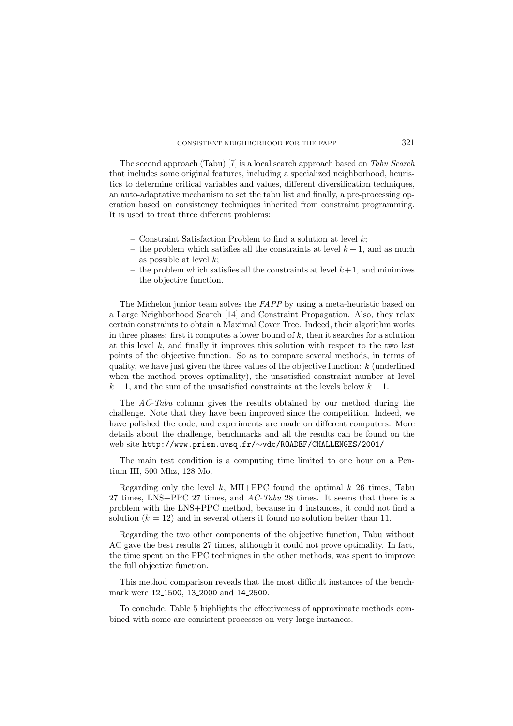The second approach (Tabu) [7] is a local search approach based on *Tabu Search* that includes some original features, including a specialized neighborhood, heuristics to determine critical variables and values, different diversification techniques, an auto-adaptative mechanism to set the tabu list and finally, a pre-processing operation based on consistency techniques inherited from constraint programming. It is used to treat three different problems:

- $-$  Constraint Satisfaction Problem to find a solution at level  $k$ ;
- the problem which satisfies all the constraints at level  $k + 1$ , and as much as possible at level  $k$ ;
- the problem which satisfies all the constraints at level  $k+1$ , and minimizes the objective function.

The Michelon junior team solves the *FAPP* by using a meta-heuristic based on a Large Neighborhood Search [14] and Constraint Propagation. Also, they relax certain constraints to obtain a Maximal Cover Tree. Indeed, their algorithm works in three phases: first it computes a lower bound of  $k$ , then it searches for a solution at this level  $k$ , and finally it improves this solution with respect to the two last points of the objective function. So as to compare several methods, in terms of quality, we have just given the three values of the objective function:  $k$  (underlined when the method proves optimality), the unsatisfied constraint number at level  $k-1$ , and the sum of the unsatisfied constraints at the levels below  $k-1$ .

The *AC-Tabu* column gives the results obtained by our method during the challenge. Note that they have been improved since the competition. Indeed, we have polished the code, and experiments are made on different computers. More details about the challenge, benchmarks and all the results can be found on the web site http://www.prism.uvsq.fr/∼vdc/ROADEF/CHALLENGES/2001/

The main test condition is a computing time limited to one hour on a Pentium III, 500 Mhz, 128 Mo.

Regarding only the level k, MH+PPC found the optimal k 26 times, Tabu 27 times, LNS+PPC 27 times, and *AC-Tabu* 28 times. It seems that there is a problem with the LNS+PPC method, because in 4 instances, it could not find a solution  $(k = 12)$  and in several others it found no solution better than 11.

Regarding the two other components of the objective function, Tabu without AC gave the best results 27 times, although it could not prove optimality. In fact, the time spent on the PPC techniques in the other methods, was spent to improve the full objective function.

This method comparison reveals that the most difficult instances of the benchmark were 12 1500, 13 2000 and 14 2500.

To conclude, Table 5 highlights the effectiveness of approximate methods combined with some arc-consistent processes on very large instances.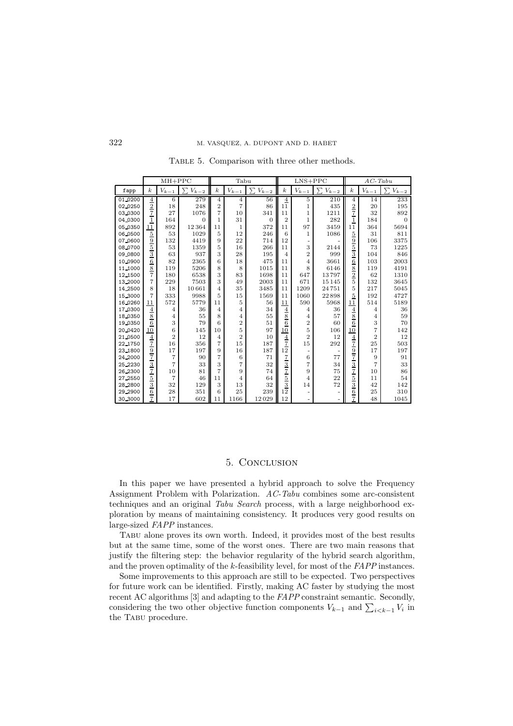|         |                                                                                                   | $MH+PPC$       |                                       | Tabu             |                |                |                                           | $LNS+PPC$      |                |                                                                                                                               | $AC$ -Tabu     |                |  |
|---------|---------------------------------------------------------------------------------------------------|----------------|---------------------------------------|------------------|----------------|----------------|-------------------------------------------|----------------|----------------|-------------------------------------------------------------------------------------------------------------------------------|----------------|----------------|--|
| fapp    | $\boldsymbol{k}$                                                                                  | $V_{k-1}$      | $\overline{\phantom{0}}$<br>$V_{k-2}$ | $\boldsymbol{k}$ | $V_{k-1}$      | ᡪ<br>$V_{k-2}$ | $\boldsymbol{k}$                          | $V_{k-1}$      | ᡪ<br>$V_{k-2}$ | $\boldsymbol{k}$                                                                                                              | $V_{k-1}$      | ᡪ<br>$V_{k-2}$ |  |
| 01_0200 |                                                                                                   | 6              | 279                                   | $\overline{4}$   | $\overline{4}$ | 56             | $\overline{4}$                            | 5              | 210            | $\overline{4}$                                                                                                                | 14             | 233            |  |
| 02.0250 | $\frac{4}{2}$                                                                                     | 18             | 248                                   | $\overline{2}$   | 7              | 86             | 11                                        | 1              | 435            |                                                                                                                               | 20             | 195            |  |
| 03.0300 |                                                                                                   | 27             | 1076                                  | 7                | 10             | 341            | 11                                        | 1              | 1211           | $\frac{2}{7}$                                                                                                                 | 32             | 892            |  |
| 04.0300 | $\overline{1}$                                                                                    | 164            | $\overline{0}$                        | 1                | 31             | $\overline{0}$ | $\overline{2}$                            | $\mathbf{1}$   | 282            |                                                                                                                               | 184            | $\Omega$       |  |
| 05_0350 | 11                                                                                                | 892            | 12364                                 | 11               | 1              | 372            | 11                                        | 97             | 3459           | 11                                                                                                                            | 364            | 5694           |  |
| 06.0500 | $\overline{5}$                                                                                    | 53             | 1029                                  | 5                | 12             | 246            | 6                                         | 1              | 1086           |                                                                                                                               | 31             | 811            |  |
| 07.0600 |                                                                                                   | 132            | 4419                                  | 9                | 22             | 714            | 12                                        |                |                |                                                                                                                               | 106            | 3375           |  |
| 08_0700 |                                                                                                   | 53             | 1359                                  | 5                | 16             | 266            | 11                                        | 3              | 2144           |                                                                                                                               | 73             | 1225           |  |
| 09_0800 |                                                                                                   | 63             | 937                                   | 3                | 28             | 195            | $\overline{4}$                            | $\overline{2}$ | 999            |                                                                                                                               | 104            | 846            |  |
| 10.0900 | $\frac{9}{5}$ $\frac{3}{6}$ $\frac{8}{7}$                                                         | 82             | 2365                                  | 6                | 18             | 475            | 11                                        | $\overline{4}$ | 3661           | $\frac{5}{9}$ $\frac{9}{5}$ $\frac{5}{8}$ $\frac{8}{2}$                                                                       | 103            | 2003           |  |
| 11,1000 |                                                                                                   | 119            | 5206                                  | 8                | 8              | 1015           | 11                                        | 8              | 6146           |                                                                                                                               | 119            | 4191           |  |
| 12,1500 |                                                                                                   | 180            | 6538                                  | 3                | 83             | 1698           | 11                                        | 647            | 13797          |                                                                                                                               | 62             | 1310           |  |
| 13,2000 | 7                                                                                                 | 229            | 7503                                  | 3                | 49             | 2003           | 11                                        | 671            | 15 1 45        | 5                                                                                                                             | 132            | 3645           |  |
| 14.2500 | 8                                                                                                 | 18             | 10661                                 | $\overline{4}$   | 35             | 3485           | 11                                        | 1209           | 24751          | 5                                                                                                                             | 217            | 5045           |  |
| 15,3000 | 7                                                                                                 | 333            | 9988                                  | 5                | 15             | 1569           | 11                                        | 1060           | 22898          | $\overline{5}$                                                                                                                | 192            | 4727           |  |
| 16_0260 | 11                                                                                                | 572            | 5779                                  | 11               | 5              | 56             | 11                                        | 590            | 5968           | 11                                                                                                                            | 514            | 5189           |  |
| 17,0300 | $\overline{4}$                                                                                    | 4              | 36                                    | 4                | 4              | 34             | $\overline{4}$                            | 4              | 36             | $\overline{4}$                                                                                                                | $\overline{4}$ | 36             |  |
| 18.0350 | 8                                                                                                 | 4              | 55                                    | 8                | 4              | 55             | 8                                         | 4              | 57             | 8                                                                                                                             | $\overline{4}$ | 59             |  |
| 19.0350 | $\,$ 6 $\,$                                                                                       | 3              | 79                                    | 6                | $\overline{2}$ | 51             | $\overline{6}$                            | $\overline{2}$ | 60             | $\,6$                                                                                                                         | 3              | 70             |  |
| 20_0420 | 10                                                                                                | 6              | 145                                   | 10               | 5              | 97             | 10                                        | 5              | 106            | 10                                                                                                                            | 7              | 142            |  |
| 21.0500 | $\frac{4}{7}$                                                                                     | $\overline{2}$ | 12                                    | 4                | $\overline{2}$ | 10             | $\frac{4}{7}$                             | $\overline{2}$ | 12             |                                                                                                                               | $\overline{2}$ | 12             |  |
| 22.1750 |                                                                                                   | 16             | 356                                   | 7                | 15             | 187            |                                           | 15             | 292            |                                                                                                                               | 25             | 503            |  |
| 23.1800 |                                                                                                   | 17             | 197                                   | 9                | 16             | 187            | 12                                        |                |                |                                                                                                                               | 17             | 197            |  |
| 24,2000 |                                                                                                   | 7              | 90                                    | 7                | 6              | 71             |                                           | 6              | 77             |                                                                                                                               | 9              | 91             |  |
| 25.2230 |                                                                                                   | 7              | 33                                    | 3                | 7              | 32             |                                           | 7              | 34             |                                                                                                                               | 7              | 33             |  |
| 26.2300 |                                                                                                   | 10             | 81                                    | 7                | 9              | 74             |                                           | 9              | 75             |                                                                                                                               | 10             | 86             |  |
| 27.2550 | $\frac{9}{7}$ $\frac{7}{3}$ $\frac{3}{7}$ $\frac{7}{5}$ $\frac{5}{3}$ $\frac{6}{6}$ $\frac{7}{7}$ | 7              | 46                                    | 11               | 4              | 64             | $\frac{7}{3}$ $\frac{3}{7}$ $\frac{5}{3}$ | 4              | 22             | $\frac{4}{7}$ $\frac{7}{9}$ $\frac{9}{7}$ $\frac{7}{3}$ $\frac{3}{7}$ $\frac{7}{5}$ $\frac{5}{3}$ $\frac{3}{6}$ $\frac{6}{7}$ | 11             | 54             |  |
| 28_2800 |                                                                                                   | 32             | 129                                   | 3                | 13             | 32             |                                           | 14             | 72             |                                                                                                                               | 42             | 142            |  |
| 29_2900 |                                                                                                   | 28             | 351                                   | 6                | 25             | 239            | 12                                        |                |                |                                                                                                                               | 25             | 310            |  |
| 30.3000 |                                                                                                   | 17             | 602                                   | 11               | 1166           | 12029          | 12                                        |                | $\overline{a}$ |                                                                                                                               | 48             | 1045           |  |

Table 5. Comparison with three other methods.

# 5. Conclusion

In this paper we have presented a hybrid approach to solve the Frequency Assignment Problem with Polarization. *AC-Tabu* combines some arc-consistent techniques and an original *Tabu Search* process, with a large neighborhood exploration by means of maintaining consistency. It produces very good results on large-sized *FAPP* instances.

Tabu alone proves its own worth. Indeed, it provides most of the best results but at the same time, some of the worst ones. There are two main reasons that justify the filtering step: the behavior regularity of the hybrid search algorithm, and the proven optimality of the k-feasibility level, for most of the *FAPP* instances.

Some improvements to this approach are still to be expected. Two perspectives for future work can be identified. Firstly, making AC faster by studying the most recent AC algorithms [3] and adapting to the *FAPP* constraint semantic. Secondly, considering the two other objective function components  $V_{k-1}$  and  $\sum_{i \leq k-1} V_i$  in the TABU procedure.